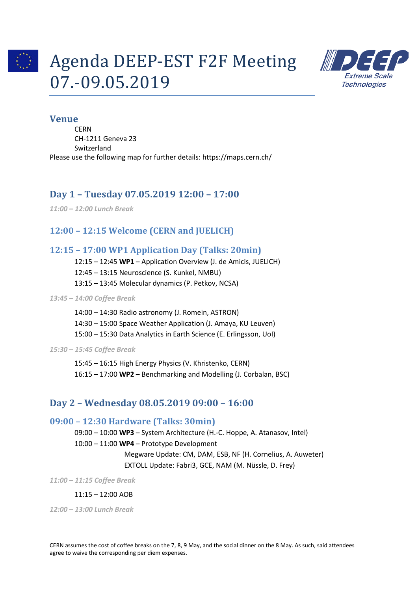

# Agenda DEEP-EST F2F Meeting 07.-09.05.2019



## **Venue**

**CERN** CH-1211 Geneva 23 Switzerland Please use the following map for further details: https://maps.cern.ch/

# **Day 1 – Tuesday 07.05.2019 12:00 – 17:00**

*11:00 – 12:00 Lunch Break*

# **12:00 – 12:15 Welcome (CERN and JUELICH)**

# **12:15 – 17:00 WP1 Application Day (Talks: 20min)**

12:15 – 12:45 **WP1** – Application Overview (J. de Amicis, JUELICH)

12:45 – 13:15 Neuroscience (S. Kunkel, NMBU)

13:15 – 13:45 Molecular dynamics (P. Petkov, NCSA)

#### *13:45 – 14:00 Coffee Break*

14:00 – 14:30 Radio astronomy (J. Romein, ASTRON) 14:30 – 15:00 Space Weather Application (J. Amaya, KU Leuven) 15:00 – 15:30 Data Analytics in Earth Science (E. Erlingsson, UoI)

*15:30 – 15:45 Coffee Break*

15:45 – 16:15 High Energy Physics (V. Khristenko, CERN) 16:15 – 17:00 **WP2** – Benchmarking and Modelling (J. Corbalan, BSC)

# **Day 2 – Wednesday 08.05.2019 09:00 – 16:00**

# **09:00 – 12:30 Hardware (Talks: 30min)**

09:00 – 10:00 **WP3** – System Architecture (H.-C. Hoppe, A. Atanasov, Intel) 10:00 – 11:00 **WP4** – Prototype Development

Megware Update: CM, DAM, ESB, NF (H. Cornelius, A. Auweter) EXTOLL Update: Fabri3, GCE, NAM (M. Nüssle, D. Frey)

*11:00 – 11:15 Coffee Break*

#### 11:15 – 12:00 AOB

*12:00 – 13:00 Lunch Break*